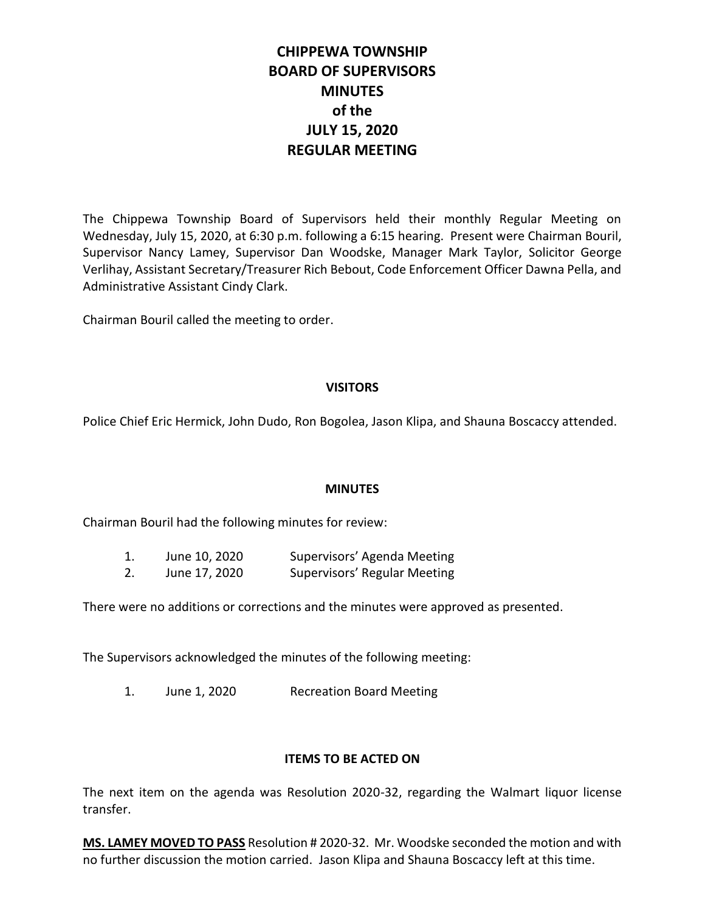# **CHIPPEWA TOWNSHIP BOARD OF SUPERVISORS MINUTES of the JULY 15, 2020 REGULAR MEETING**

The Chippewa Township Board of Supervisors held their monthly Regular Meeting on Wednesday, July 15, 2020, at 6:30 p.m. following a 6:15 hearing. Present were Chairman Bouril, Supervisor Nancy Lamey, Supervisor Dan Woodske, Manager Mark Taylor, Solicitor George Verlihay, Assistant Secretary/Treasurer Rich Bebout, Code Enforcement Officer Dawna Pella, and Administrative Assistant Cindy Clark.

Chairman Bouril called the meeting to order.

## **VISITORS**

Police Chief Eric Hermick, John Dudo, Ron Bogolea, Jason Klipa, and Shauna Boscaccy attended.

## **MINUTES**

Chairman Bouril had the following minutes for review:

| 1. | June 10, 2020 | Supervisors' Agenda Meeting  |
|----|---------------|------------------------------|
| 2. | June 17, 2020 | Supervisors' Regular Meeting |

There were no additions or corrections and the minutes were approved as presented.

The Supervisors acknowledged the minutes of the following meeting:

1. June 1, 2020 Recreation Board Meeting

# **ITEMS TO BE ACTED ON**

The next item on the agenda was Resolution 2020-32, regarding the Walmart liquor license transfer.

**MS. LAMEY MOVED TO PASS** Resolution # 2020-32. Mr. Woodske seconded the motion and with no further discussion the motion carried. Jason Klipa and Shauna Boscaccy left at this time.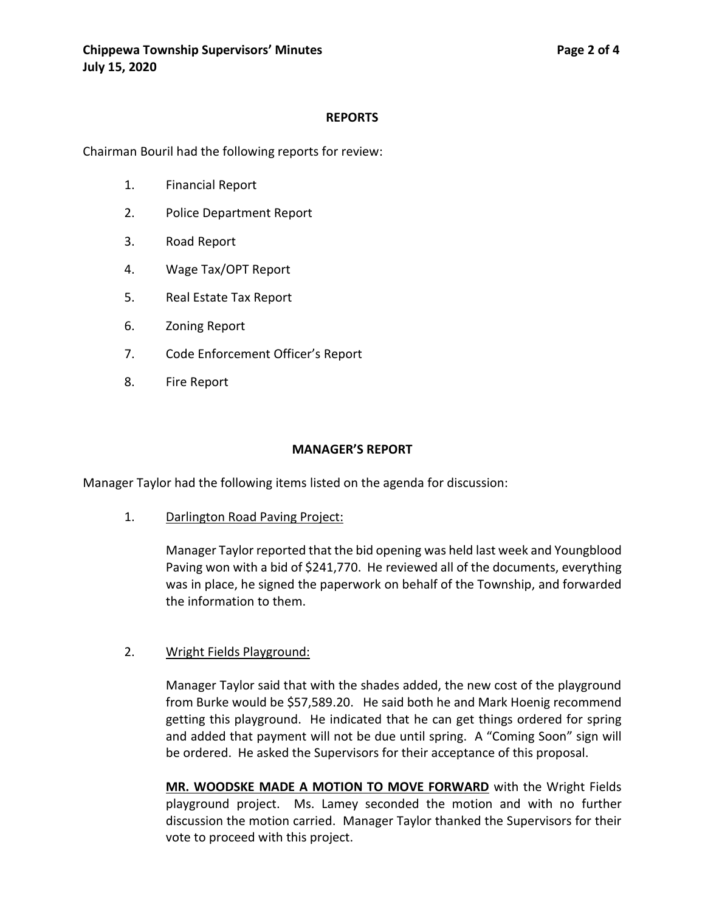# **REPORTS**

Chairman Bouril had the following reports for review:

- 1. Financial Report
- 2. Police Department Report
- 3. Road Report
- 4. Wage Tax/OPT Report
- 5. Real Estate Tax Report
- 6. Zoning Report
- 7. Code Enforcement Officer's Report
- 8. Fire Report

#### **MANAGER'S REPORT**

Manager Taylor had the following items listed on the agenda for discussion:

1. Darlington Road Paving Project:

Manager Taylor reported that the bid opening was held last week and Youngblood Paving won with a bid of \$241,770. He reviewed all of the documents, everything was in place, he signed the paperwork on behalf of the Township, and forwarded the information to them.

#### 2. Wright Fields Playground:

Manager Taylor said that with the shades added, the new cost of the playground from Burke would be \$57,589.20. He said both he and Mark Hoenig recommend getting this playground. He indicated that he can get things ordered for spring and added that payment will not be due until spring. A "Coming Soon" sign will be ordered. He asked the Supervisors for their acceptance of this proposal.

**MR. WOODSKE MADE A MOTION TO MOVE FORWARD** with the Wright Fields playground project. Ms. Lamey seconded the motion and with no further discussion the motion carried. Manager Taylor thanked the Supervisors for their vote to proceed with this project.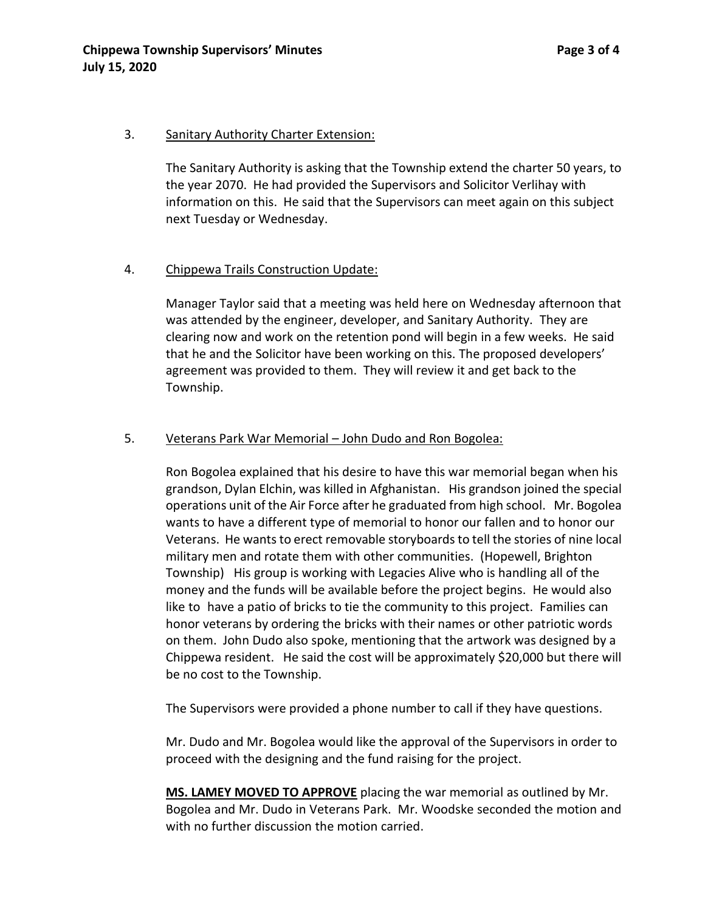#### 3. Sanitary Authority Charter Extension:

The Sanitary Authority is asking that the Township extend the charter 50 years, to the year 2070. He had provided the Supervisors and Solicitor Verlihay with information on this. He said that the Supervisors can meet again on this subject next Tuesday or Wednesday.

# 4. Chippewa Trails Construction Update:

Manager Taylor said that a meeting was held here on Wednesday afternoon that was attended by the engineer, developer, and Sanitary Authority. They are clearing now and work on the retention pond will begin in a few weeks. He said that he and the Solicitor have been working on this. The proposed developers' agreement was provided to them. They will review it and get back to the Township.

#### 5. Veterans Park War Memorial – John Dudo and Ron Bogolea:

Ron Bogolea explained that his desire to have this war memorial began when his grandson, Dylan Elchin, was killed in Afghanistan. His grandson joined the special operations unit of the Air Force after he graduated from high school. Mr. Bogolea wants to have a different type of memorial to honor our fallen and to honor our Veterans. He wants to erect removable storyboards to tell the stories of nine local military men and rotate them with other communities. (Hopewell, Brighton Township) His group is working with Legacies Alive who is handling all of the money and the funds will be available before the project begins. He would also like to have a patio of bricks to tie the community to this project. Families can honor veterans by ordering the bricks with their names or other patriotic words on them. John Dudo also spoke, mentioning that the artwork was designed by a Chippewa resident. He said the cost will be approximately \$20,000 but there will be no cost to the Township.

The Supervisors were provided a phone number to call if they have questions.

Mr. Dudo and Mr. Bogolea would like the approval of the Supervisors in order to proceed with the designing and the fund raising for the project.

**MS. LAMEY MOVED TO APPROVE** placing the war memorial as outlined by Mr. Bogolea and Mr. Dudo in Veterans Park. Mr. Woodske seconded the motion and with no further discussion the motion carried.